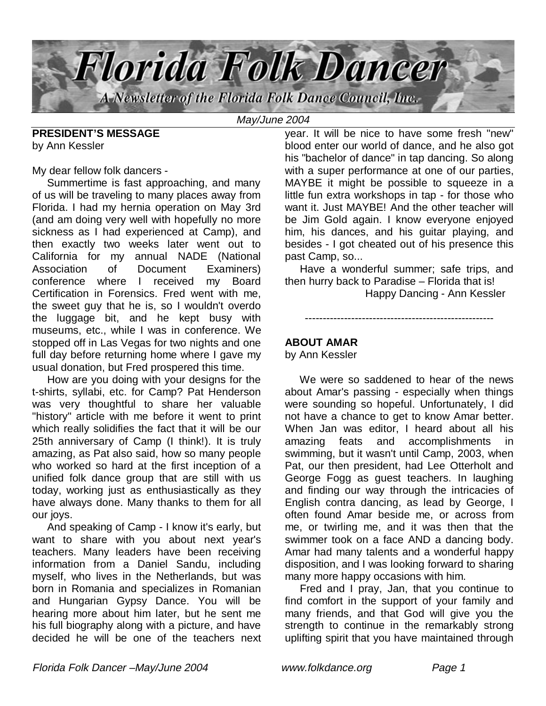

May/June 2004

**PRESIDENT'S MESSAGE** by Ann Kessler

My dear fellow folk dancers -

 Summertime is fast approaching, and many of us will be traveling to many places away from Florida. I had my hernia operation on May 3rd (and am doing very well with hopefully no more sickness as I had experienced at Camp), and then exactly two weeks later went out to California for my annual NADE (National Association of Document Examiners) conference where I received my Board Certification in Forensics. Fred went with me, the sweet guy that he is, so I wouldn't overdo the luggage bit, and he kept busy with museums, etc., while I was in conference. We stopped off in Las Vegas for two nights and one full day before returning home where I gave my usual donation, but Fred prospered this time.

 How are you doing with your designs for the t-shirts, syllabi, etc. for Camp? Pat Henderson was very thoughtful to share her valuable "history" article with me before it went to print which really solidifies the fact that it will be our 25th anniversary of Camp (I think!). It is truly amazing, as Pat also said, how so many people who worked so hard at the first inception of a unified folk dance group that are still with us today, working just as enthusiastically as they have always done. Many thanks to them for all our joys.

 And speaking of Camp - I know it's early, but want to share with you about next year's teachers. Many leaders have been receiving information from a Daniel Sandu, including myself, who lives in the Netherlands, but was born in Romania and specializes in Romanian and Hungarian Gypsy Dance. You will be hearing more about him later, but he sent me his full biography along with a picture, and have decided he will be one of the teachers next

year. It will be nice to have some fresh "new" blood enter our world of dance, and he also got his "bachelor of dance" in tap dancing. So along with a super performance at one of our parties, MAYBE it might be possible to squeeze in a little fun extra workshops in tap - for those who want it. Just MAYBE! And the other teacher will be Jim Gold again. I know everyone enjoyed him, his dances, and his guitar playing, and besides - I got cheated out of his presence this past Camp, so...

 Have a wonderful summer; safe trips, and then hurry back to Paradise – Florida that is!

-----------------------------------------------------

Happy Dancing - Ann Kessler

# **ABOUT AMAR**

by Ann Kessler

 We were so saddened to hear of the news about Amar's passing - especially when things were sounding so hopeful. Unfortunately, I did not have a chance to get to know Amar better. When Jan was editor, I heard about all his amazing feats and accomplishments in swimming, but it wasn't until Camp, 2003, when Pat, our then president, had Lee Otterholt and George Fogg as guest teachers. In laughing and finding our way through the intricacies of English contra dancing, as lead by George, I often found Amar beside me, or across from me, or twirling me, and it was then that the swimmer took on a face AND a dancing body. Amar had many talents and a wonderful happy disposition, and I was looking forward to sharing many more happy occasions with him.

 Fred and I pray, Jan, that you continue to find comfort in the support of your family and many friends, and that God will give you the strength to continue in the remarkably strong uplifting spirit that you have maintained through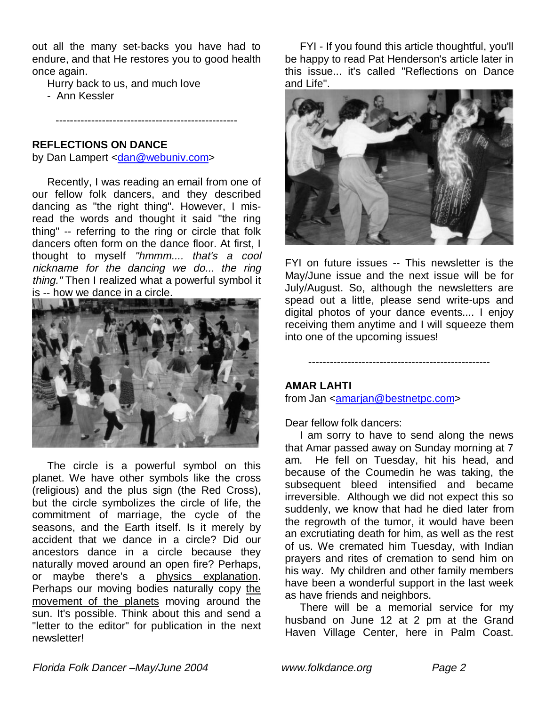out all the many set-backs you have had to endure, and that He restores you to good health once again.

---------------------------------------------------

Hurry back to us, and much love

- Ann Kessler

#### **REFLECTIONS ON DANCE**

by Dan Lampert <dan@webuniv.com>

 Recently, I was reading an email from one of our fellow folk dancers, and they described dancing as "the right thing". However, I misread the words and thought it said "the ring thing" -- referring to the ring or circle that folk dancers often form on the dance floor. At first, I thought to myself "hmmm.... that's a cool nickname for the dancing we do... the ring thing." Then I realized what a powerful symbol it is -- how we dance in a circle.



 The circle is a powerful symbol on this planet. We have other symbols like the cross (religious) and the plus sign (the Red Cross), but the circle symbolizes the circle of life, the commitment of marriage, the cycle of the seasons, and the Earth itself. Is it merely by accident that we dance in a circle? Did our ancestors dance in a circle because they naturally moved around an open fire? Perhaps, or maybe there's a physics explanation. Perhaps our moving bodies naturally copy the movement of the planets moving around the sun. It's possible. Think about this and send a "letter to the editor" for publication in the next newsletter!

 FYI - If you found this article thoughtful, you'll be happy to read Pat Henderson's article later in this issue... it's called "Reflections on Dance and Life".



FYI on future issues -- This newsletter is the May/June issue and the next issue will be for July/August. So, although the newsletters are spead out a little, please send write-ups and digital photos of your dance events.... I enjoy receiving them anytime and I will squeeze them into one of the upcoming issues!

---------------------------------------------------

### **AMAR LAHTI**

from Jan <amarjan@bestnetpc.com>

Dear fellow folk dancers:

 I am sorry to have to send along the news that Amar passed away on Sunday morning at 7 am. He fell on Tuesday, hit his head, and because of the Coumedin he was taking, the subsequent bleed intensified and became irreversible. Although we did not expect this so suddenly, we know that had he died later from the regrowth of the tumor, it would have been an excrutiating death for him, as well as the rest of us. We cremated him Tuesday, with Indian prayers and rites of cremation to send him on his way. My children and other family members have been a wonderful support in the last week as have friends and neighbors.

 There will be a memorial service for my husband on June 12 at 2 pm at the Grand Haven Village Center, here in Palm Coast.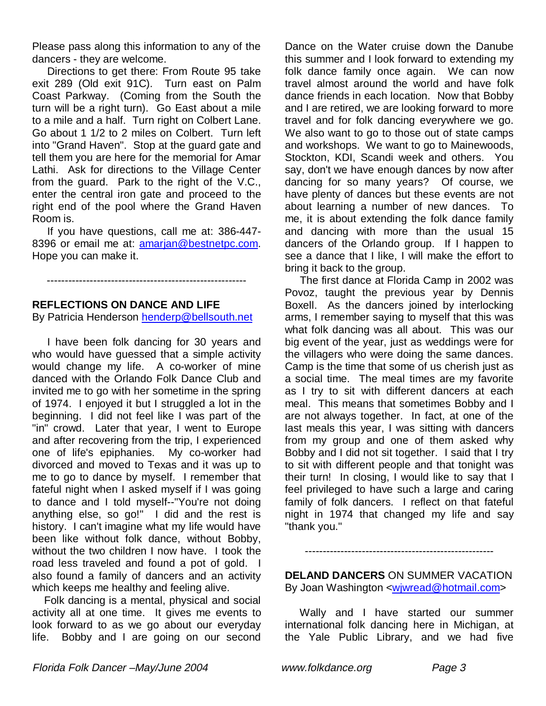Please pass along this information to any of the dancers - they are welcome.

 Directions to get there: From Route 95 take exit 289 (Old exit 91C). Turn east on Palm Coast Parkway. (Coming from the South the turn will be a right turn). Go East about a mile to a mile and a half. Turn right on Colbert Lane. Go about 1 1/2 to 2 miles on Colbert. Turn left into "Grand Haven". Stop at the guard gate and tell them you are here for the memorial for Amar Lathi. Ask for directions to the Village Center from the guard. Park to the right of the V.C., enter the central iron gate and proceed to the right end of the pool where the Grand Haven Room is.

 If you have questions, call me at: 386-447- 8396 or email me at: amarjan@bestnetpc.com. Hope you can make it.

--------------------------------------------------------

### **REFLECTIONS ON DANCE AND LIFE**

By Patricia Henderson henderp@bellsouth.net

 I have been folk dancing for 30 years and who would have guessed that a simple activity would change my life. A co-worker of mine danced with the Orlando Folk Dance Club and invited me to go with her sometime in the spring of 1974. I enjoyed it but I struggled a lot in the beginning. I did not feel like I was part of the "in" crowd. Later that year, I went to Europe and after recovering from the trip, I experienced one of life's epiphanies. My co-worker had divorced and moved to Texas and it was up to me to go to dance by myself. I remember that fateful night when I asked myself if I was going to dance and I told myself--"You're not doing anything else, so go!" I did and the rest is history. I can't imagine what my life would have been like without folk dance, without Bobby, without the two children I now have. I took the road less traveled and found a pot of gold. I also found a family of dancers and an activity which keeps me healthy and feeling alive.

 Folk dancing is a mental, physical and social activity all at one time. It gives me events to look forward to as we go about our everyday life. Bobby and I are going on our second

Dance on the Water cruise down the Danube this summer and I look forward to extending my folk dance family once again. We can now travel almost around the world and have folk dance friends in each location. Now that Bobby and I are retired, we are looking forward to more travel and for folk dancing everywhere we go. We also want to go to those out of state camps and workshops. We want to go to Mainewoods, Stockton, KDI, Scandi week and others. You say, don't we have enough dances by now after dancing for so many years? Of course, we have plenty of dances but these events are not about learning a number of new dances. To me, it is about extending the folk dance family and dancing with more than the usual 15 dancers of the Orlando group. If I happen to see a dance that I like, I will make the effort to bring it back to the group.

 The first dance at Florida Camp in 2002 was Povoz, taught the previous year by Dennis Boxell. As the dancers joined by interlocking arms, I remember saying to myself that this was what folk dancing was all about. This was our big event of the year, just as weddings were for the villagers who were doing the same dances. Camp is the time that some of us cherish just as a social time. The meal times are my favorite as I try to sit with different dancers at each meal. This means that sometimes Bobby and I are not always together. In fact, at one of the last meals this year, I was sitting with dancers from my group and one of them asked why Bobby and I did not sit together. I said that I try to sit with different people and that tonight was their turn! In closing, I would like to say that I feel privileged to have such a large and caring family of folk dancers. I reflect on that fateful night in 1974 that changed my life and say "thank you."

**DELAND DANCERS** ON SUMMER VACATION By Joan Washington <wjwread@hotmail.com>

-----------------------------------------------------

 Wally and I have started our summer international folk dancing here in Michigan, at the Yale Public Library, and we had five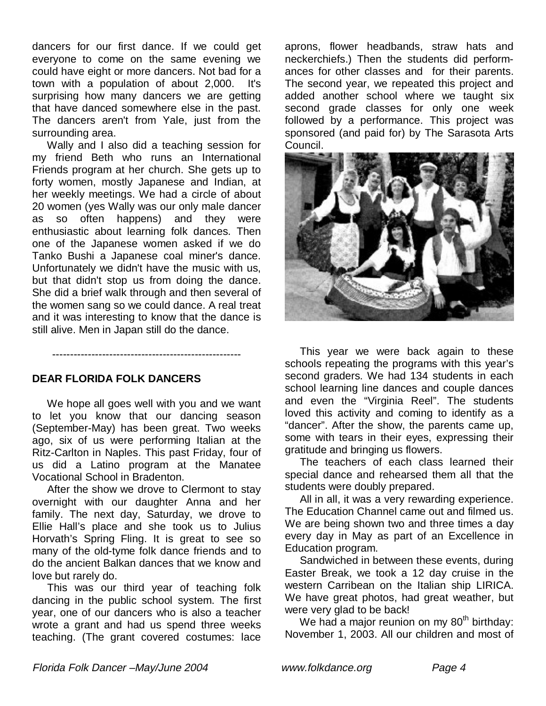dancers for our first dance. If we could get everyone to come on the same evening we could have eight or more dancers. Not bad for a town with a population of about 2,000. It's surprising how many dancers we are getting that have danced somewhere else in the past. The dancers aren't from Yale, just from the surrounding area.

 Wally and I also did a teaching session for my friend Beth who runs an International Friends program at her church. She gets up to forty women, mostly Japanese and Indian, at her weekly meetings. We had a circle of about 20 women (yes Wally was our only male dancer as so often happens) and they were enthusiastic about learning folk dances. Then one of the Japanese women asked if we do Tanko Bushi a Japanese coal miner's dance. Unfortunately we didn't have the music with us, but that didn't stop us from doing the dance. She did a brief walk through and then several of the women sang so we could dance. A real treat and it was interesting to know that the dance is still alive. Men in Japan still do the dance.

### **DEAR FLORIDA FOLK DANCERS**

 We hope all goes well with you and we want to let you know that our dancing season (September-May) has been great. Two weeks ago, six of us were performing Italian at the Ritz-Carlton in Naples. This past Friday, four of us did a Latino program at the Manatee Vocational School in Bradenton.

-----------------------------------------------------

 After the show we drove to Clermont to stay overnight with our daughter Anna and her family. The next day, Saturday, we drove to Ellie Hall's place and she took us to Julius Horvath's Spring Fling. It is great to see so many of the old-tyme folk dance friends and to do the ancient Balkan dances that we know and love but rarely do.

 This was our third year of teaching folk dancing in the public school system. The first year, one of our dancers who is also a teacher wrote a grant and had us spend three weeks teaching. (The grant covered costumes: lace

aprons, flower headbands, straw hats and neckerchiefs.) Then the students did performances for other classes and for their parents. The second year, we repeated this project and added another school where we taught six second grade classes for only one week followed by a performance. This project was sponsored (and paid for) by The Sarasota Arts Council.



 This year we were back again to these schools repeating the programs with this year's second graders. We had 134 students in each school learning line dances and couple dances and even the "Virginia Reel". The students loved this activity and coming to identify as a "dancer". After the show, the parents came up, some with tears in their eyes, expressing their gratitude and bringing us flowers.

 The teachers of each class learned their special dance and rehearsed them all that the students were doubly prepared.

 All in all, it was a very rewarding experience. The Education Channel came out and filmed us. We are being shown two and three times a day every day in May as part of an Excellence in Education program.

 Sandwiched in between these events, during Easter Break, we took a 12 day cruise in the western Carribean on the Italian ship LIRICA. We have great photos, had great weather, but were very glad to be back!

We had a major reunion on my  $80<sup>th</sup>$  birthday: November 1, 2003. All our children and most of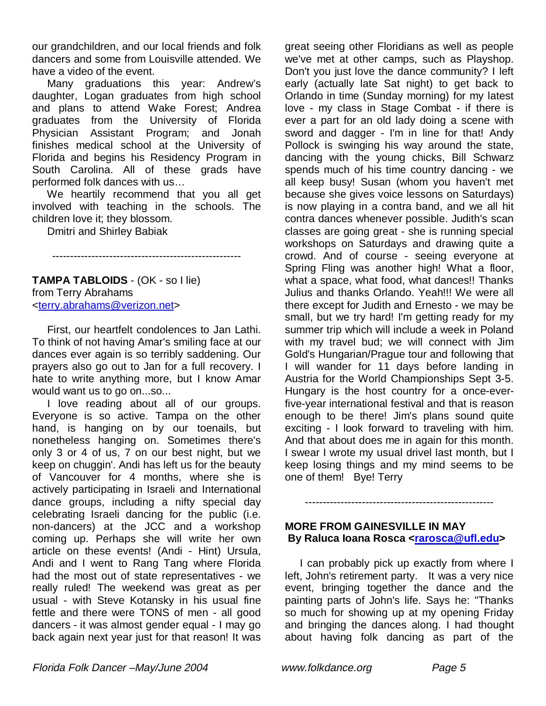our grandchildren, and our local friends and folk dancers and some from Louisville attended. We have a video of the event.

 Many graduations this year: Andrew's daughter, Logan graduates from high school and plans to attend Wake Forest; Andrea graduates from the University of Florida Physician Assistant Program; and Jonah finishes medical school at the University of Florida and begins his Residency Program in South Carolina. All of these grads have performed folk dances with us…

 We heartily recommend that you all get involved with teaching in the schools. The children love it; they blossom.

Dmitri and Shirley Babiak

-----------------------------------------------------

**TAMPA TABLOIDS** - (OK - so I lie) from Terry Abrahams <terry.abrahams@verizon.net>

 First, our heartfelt condolences to Jan Lathi. To think of not having Amar's smiling face at our dances ever again is so terribly saddening. Our prayers also go out to Jan for a full recovery. I hate to write anything more, but I know Amar would want us to go on...so...

 I love reading about all of our groups. Everyone is so active. Tampa on the other hand, is hanging on by our toenails, but nonetheless hanging on. Sometimes there's only 3 or 4 of us, 7 on our best night, but we keep on chuggin'. Andi has left us for the beauty of Vancouver for 4 months, where she is actively participating in Israeli and International dance groups, including a nifty special day celebrating Israeli dancing for the public (i.e. non-dancers) at the JCC and a workshop coming up. Perhaps she will write her own article on these events! (Andi - Hint) Ursula, Andi and I went to Rang Tang where Florida had the most out of state representatives - we really ruled! The weekend was great as per usual - with Steve Kotansky in his usual fine fettle and there were TONS of men - all good dancers - it was almost gender equal - I may go back again next year just for that reason! It was

great seeing other Floridians as well as people we've met at other camps, such as Playshop. Don't you just love the dance community? I left early (actually late Sat night) to get back to Orlando in time (Sunday morning) for my latest love - my class in Stage Combat - if there is ever a part for an old lady doing a scene with sword and dagger - I'm in line for that! Andy Pollock is swinging his way around the state, dancing with the young chicks, Bill Schwarz spends much of his time country dancing - we all keep busy! Susan (whom you haven't met because she gives voice lessons on Saturdays) is now playing in a contra band, and we all hit contra dances whenever possible. Judith's scan classes are going great - she is running special workshops on Saturdays and drawing quite a crowd. And of course - seeing everyone at Spring Fling was another high! What a floor, what a space, what food, what dances!! Thanks Julius and thanks Orlando. Yeah!!! We were all there except for Judith and Ernesto - we may be small, but we try hard! I'm getting ready for my summer trip which will include a week in Poland with my travel bud; we will connect with Jim Gold's Hungarian/Prague tour and following that I will wander for 11 days before landing in Austria for the World Championships Sept 3-5. Hungary is the host country for a once-everfive-year international festival and that is reason enough to be there! Jim's plans sound quite exciting - I look forward to traveling with him. And that about does me in again for this month. I swear I wrote my usual drivel last month, but I keep losing things and my mind seems to be one of them! Bye! Terry

### **MORE FROM GAINESVILLE IN MAY** By Raluca Ioana Rosca <rarosca@ufl.edu>

-----------------------------------------------------

 I can probably pick up exactly from where I left, John's retirement party. It was a very nice event, bringing together the dance and the painting parts of John's life. Says he: "Thanks so much for showing up at my opening Friday and bringing the dances along. I had thought about having folk dancing as part of the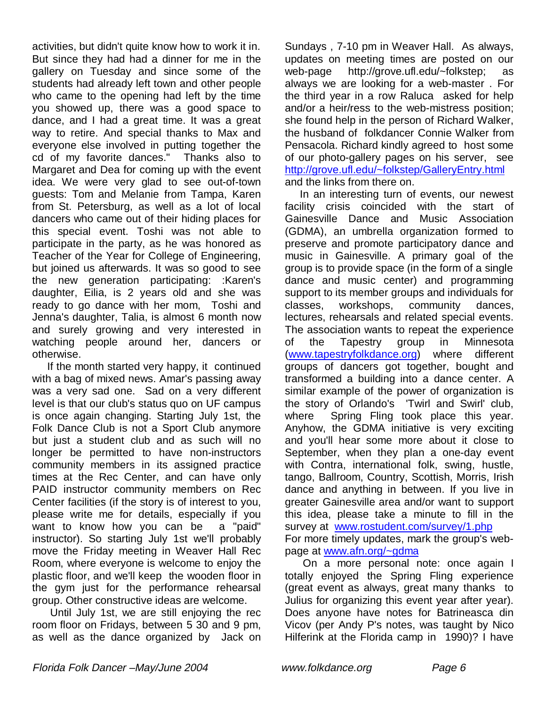activities, but didn't quite know how to work it in. But since they had had a dinner for me in the gallery on Tuesday and since some of the students had already left town and other people who came to the opening had left by the time you showed up, there was a good space to dance, and I had a great time. It was a great way to retire. And special thanks to Max and everyone else involved in putting together the cd of my favorite dances." Thanks also to Margaret and Dea for coming up with the event idea. We were very glad to see out-of-town guests: Tom and Melanie from Tampa, Karen from St. Petersburg, as well as a lot of local dancers who came out of their hiding places for this special event. Toshi was not able to participate in the party, as he was honored as Teacher of the Year for College of Engineering, but joined us afterwards. It was so good to see the new generation participating: :Karen's daughter, Eilia, is 2 years old and she was ready to go dance with her mom, Toshi and Jenna's daughter, Talia, is almost 6 month now and surely growing and very interested in watching people around her, dancers or otherwise.

 If the month started very happy, it continued with a bag of mixed news. Amar's passing away was a very sad one. Sad on a very different level is that our club's status quo on UF campus is once again changing. Starting July 1st, the Folk Dance Club is not a Sport Club anymore but just a student club and as such will no longer be permitted to have non-instructors community members in its assigned practice times at the Rec Center, and can have only PAID instructor community members on Rec Center facilities (if the story is of interest to you, please write me for details, especially if you want to know how you can be a "paid" instructor). So starting July 1st we'll probably move the Friday meeting in Weaver Hall Rec Room, where everyone is welcome to enjoy the plastic floor, and we'll keep the wooden floor in the gym just for the performance rehearsal group. Other constructive ideas are welcome.

 Until July 1st, we are still enjoying the rec room floor on Fridays, between 5 30 and 9 pm, as well as the dance organized by Jack on

Sundays , 7-10 pm in Weaver Hall. As always, updates on meeting times are posted on our web-page http://grove.ufl.edu/~folkstep; as always we are looking for a web-master . For the third year in a row Raluca asked for help and/or a heir/ress to the web-mistress position; she found help in the person of Richard Walker, the husband of folkdancer Connie Walker from Pensacola. Richard kindly agreed to host some of our photo-gallery pages on his server, see http://grove.ufl.edu/~folkstep/GalleryEntry.html and the links from there on.

 In an interesting turn of events, our newest facility crisis coincided with the start of Gainesville Dance and Music Association (GDMA), an umbrella organization formed to preserve and promote participatory dance and music in Gainesville. A primary goal of the group is to provide space (in the form of a single dance and music center) and programming support to its member groups and individuals for classes, workshops, community dances, lectures, rehearsals and related special events. The association wants to repeat the experience of the Tapestry group in Minnesota (www.tapestryfolkdance.org) where different groups of dancers got together, bought and transformed a building into a dance center. A similar example of the power of organization is the story of Orlando's 'Twirl and Swirl' club, where Spring Fling took place this year. Anyhow, the GDMA initiative is very exciting and you'll hear some more about it close to September, when they plan a one-day event with Contra, international folk, swing, hustle, tango, Ballroom, Country, Scottish, Morris, Irish dance and anything in between. If you live in greater Gainesville area and/or want to support this idea, please take a minute to fill in the survey at www.rostudent.com/survey/1.php For more timely updates, mark the group's webpage at www.afn.org/~gdma

 On a more personal note: once again I totally enjoyed the Spring Fling experience (great event as always, great many thanks to Julius for organizing this event year after year). Does anyone have notes for Batrineasca din Vicov (per Andy P's notes, was taught by Nico Hilferink at the Florida camp in 1990)? I have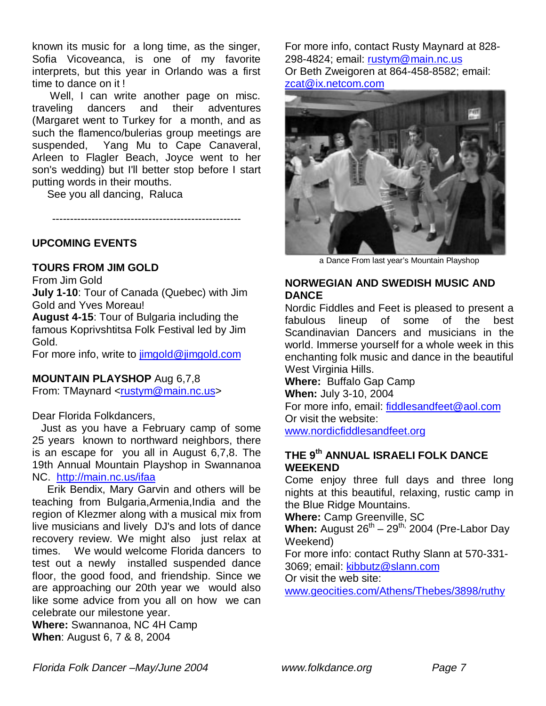known its music for a long time, as the singer, Sofia Vicoveanca, is one of my favorite interprets, but this year in Orlando was a first time to dance on it !

 Well, I can write another page on misc. traveling dancers and their adventures (Margaret went to Turkey for a month, and as such the flamenco/bulerias group meetings are suspended, Yang Mu to Cape Canaveral, Arleen to Flagler Beach, Joyce went to her son's wedding) but I'll better stop before I start putting words in their mouths.

See you all dancing, Raluca

-----------------------------------------------------

**UPCOMING EVENTS**

### **TOURS FROM JIM GOLD**

From Jim Gold

**July 1-10**: Tour of Canada (Quebec) with Jim Gold and Yves Moreau!

**August 4-15**: Tour of Bulgaria including the famous Koprivshtitsa Folk Festival led by Jim Gold.

For more info, write to jimgold@jimgold.com

### **MOUNTAIN PLAYSHOP** Aug 6,7,8

From: TMaynard <rustym@main.nc.us>

Dear Florida Folkdancers,

 Just as you have a February camp of some 25 years known to northward neighbors, there is an escape for you all in August 6,7,8. The 19th Annual Mountain Playshop in Swannanoa NC. http://main.nc.us/ifaa

 Erik Bendix, Mary Garvin and others will be teaching from Bulgaria,Armenia,India and the region of Klezmer along with a musical mix from live musicians and lively DJ's and lots of dance recovery review. We might also just relax at times. We would welcome Florida dancers to test out a newly installed suspended dance floor, the good food, and friendship. Since we are approaching our 20th year we would also like some advice from you all on how we can celebrate our milestone year.

**Where:** Swannanoa, NC 4H Camp **When**: August 6, 7 & 8, 2004

For more info, contact Rusty Maynard at 828- 298-4824; email: rustym@main.nc.us Or Beth Zweigoren at 864-458-8582; email: zcat@ix.netcom.com



a Dance From last year's Mountain Playshop

### **NORWEGIAN AND SWEDISH MUSIC AND DANCE**

Nordic Fiddles and Feet is pleased to present a fabulous lineup of some of the best Scandinavian Dancers and musicians in the world. Immerse yourself for a whole week in this enchanting folk music and dance in the beautiful West Virginia Hills.

**Where:** Buffalo Gap Camp **When:** July 3-10, 2004 For more info, email: fiddlesandfeet@aol.com Or visit the website: www.nordicfiddlesandfeet.org

### **THE 9th ANNUAL ISRAELI FOLK DANCE WEEKEND**

Come enjoy three full days and three long nights at this beautiful, relaxing, rustic camp in the Blue Ridge Mountains.

**Where:** Camp Greenville, SC

When: August 26<sup>th</sup> – 29<sup>th,</sup> 2004 (Pre-Labor Day Weekend)

For more info: contact Ruthy Slann at 570-331- 3069; email: kibbutz@slann.com

Or visit the web site:

www.geocities.com/Athens/Thebes/3898/ruthy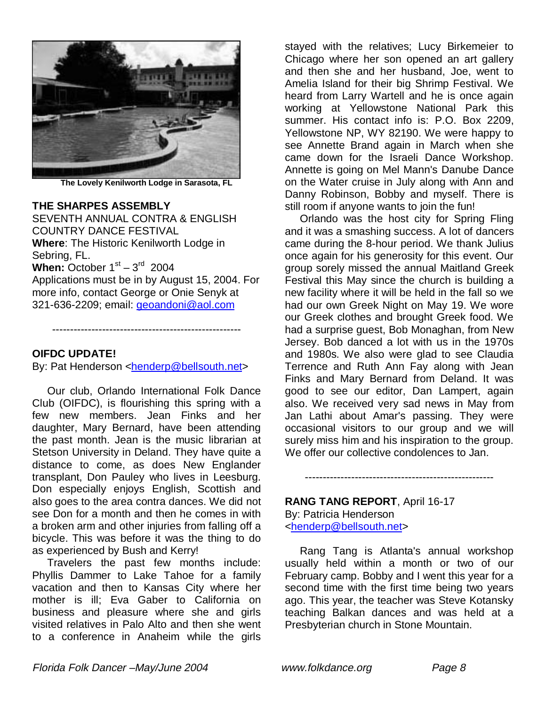

**The Lovely Kenilworth Lodge in Sarasota, FL**

#### **THE SHARPES ASSEMBLY**

SEVENTH ANNUAL CONTRA & ENGLISH COUNTRY DANCE FESTIVAL **Where**: The Historic Kenilworth Lodge in Sebring, FL.

**When:** October  $1<sup>st</sup> - 3<sup>rd</sup>$  2004

Applications must be in by August 15, 2004. For more info, contact George or Onie Senyk at 321-636-2209; email: geoandoni@aol.com

-----------------------------------------------------

#### **OIFDC UPDATE!**

By: Pat Henderson <henderp@bellsouth.net>

 Our club, Orlando International Folk Dance Club (OIFDC), is flourishing this spring with a few new members. Jean Finks and her daughter, Mary Bernard, have been attending the past month. Jean is the music librarian at Stetson University in Deland. They have quite a distance to come, as does New Englander transplant, Don Pauley who lives in Leesburg. Don especially enjoys English, Scottish and also goes to the area contra dances. We did not see Don for a month and then he comes in with a broken arm and other injuries from falling off a bicycle. This was before it was the thing to do as experienced by Bush and Kerry!

 Travelers the past few months include: Phyllis Dammer to Lake Tahoe for a family vacation and then to Kansas City where her mother is ill; Eva Gaber to California on business and pleasure where she and girls visited relatives in Palo Alto and then she went to a conference in Anaheim while the girls

stayed with the relatives; Lucy Birkemeier to Chicago where her son opened an art gallery and then she and her husband, Joe, went to Amelia Island for their big Shrimp Festival. We heard from Larry Wartell and he is once again working at Yellowstone National Park this summer. His contact info is: P.O. Box 2209, Yellowstone NP, WY 82190. We were happy to see Annette Brand again in March when she came down for the Israeli Dance Workshop. Annette is going on Mel Mann's Danube Dance on the Water cruise in July along with Ann and Danny Robinson, Bobby and myself. There is still room if anyone wants to join the fun!

 Orlando was the host city for Spring Fling and it was a smashing success. A lot of dancers came during the 8-hour period. We thank Julius once again for his generosity for this event. Our group sorely missed the annual Maitland Greek Festival this May since the church is building a new facility where it will be held in the fall so we had our own Greek Night on May 19. We wore our Greek clothes and brought Greek food. We had a surprise guest, Bob Monaghan, from New Jersey. Bob danced a lot with us in the 1970s and 1980s. We also were glad to see Claudia Terrence and Ruth Ann Fay along with Jean Finks and Mary Bernard from Deland. It was good to see our editor, Dan Lampert, again also. We received very sad news in May from Jan Lathi about Amar's passing. They were occasional visitors to our group and we will surely miss him and his inspiration to the group. We offer our collective condolences to Jan.

-----------------------------------------------------

## **RANG TANG REPORT**, April 16-17 By: Patricia Henderson

<henderp@bellsouth.net>

 Rang Tang is Atlanta's annual workshop usually held within a month or two of our February camp. Bobby and I went this year for a second time with the first time being two years ago. This year, the teacher was Steve Kotansky teaching Balkan dances and was held at a Presbyterian church in Stone Mountain.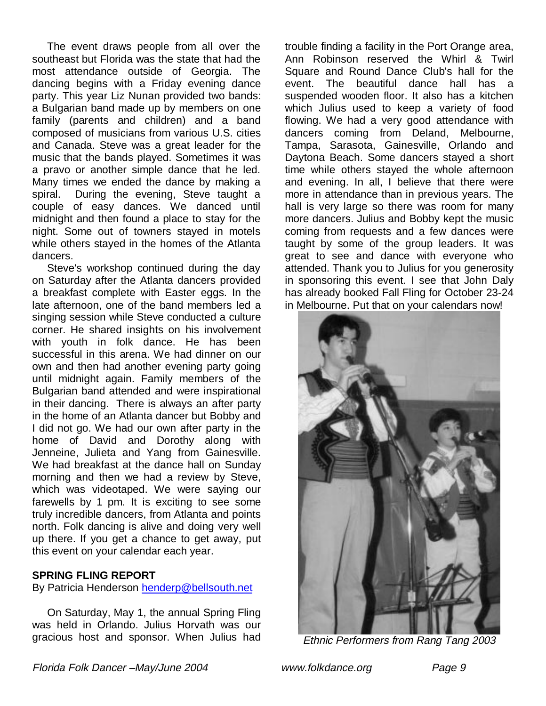The event draws people from all over the southeast but Florida was the state that had the most attendance outside of Georgia. The dancing begins with a Friday evening dance party. This year Liz Nunan provided two bands: a Bulgarian band made up by members on one family (parents and children) and a band composed of musicians from various U.S. cities and Canada. Steve was a great leader for the music that the bands played. Sometimes it was a pravo or another simple dance that he led. Many times we ended the dance by making a spiral. During the evening, Steve taught a couple of easy dances. We danced until midnight and then found a place to stay for the night. Some out of towners stayed in motels while others stayed in the homes of the Atlanta dancers.

 Steve's workshop continued during the day on Saturday after the Atlanta dancers provided a breakfast complete with Easter eggs. In the late afternoon, one of the band members led a singing session while Steve conducted a culture corner. He shared insights on his involvement with youth in folk dance. He has been successful in this arena. We had dinner on our own and then had another evening party going until midnight again. Family members of the Bulgarian band attended and were inspirational in their dancing. There is always an after party in the home of an Atlanta dancer but Bobby and I did not go. We had our own after party in the home of David and Dorothy along with Jenneine, Julieta and Yang from Gainesville. We had breakfast at the dance hall on Sunday morning and then we had a review by Steve, which was videotaped. We were saying our farewells by 1 pm. It is exciting to see some truly incredible dancers, from Atlanta and points north. Folk dancing is alive and doing very well up there. If you get a chance to get away, put this event on your calendar each year.

### **SPRING FLING REPORT**

By Patricia Henderson henderp@bellsouth.net

 On Saturday, May 1, the annual Spring Fling was held in Orlando. Julius Horvath was our gracious host and sponsor. When Julius had trouble finding a facility in the Port Orange area, Ann Robinson reserved the Whirl & Twirl Square and Round Dance Club's hall for the event. The beautiful dance hall has a suspended wooden floor. It also has a kitchen which Julius used to keep a variety of food flowing. We had a very good attendance with dancers coming from Deland, Melbourne, Tampa, Sarasota, Gainesville, Orlando and Daytona Beach. Some dancers stayed a short time while others stayed the whole afternoon and evening. In all, I believe that there were more in attendance than in previous years. The hall is very large so there was room for many more dancers. Julius and Bobby kept the music coming from requests and a few dances were taught by some of the group leaders. It was great to see and dance with everyone who attended. Thank you to Julius for you generosity in sponsoring this event. I see that John Daly has already booked Fall Fling for October 23-24 in Melbourne. Put that on your calendars now!



Ethnic Performers from Rang Tang 2003